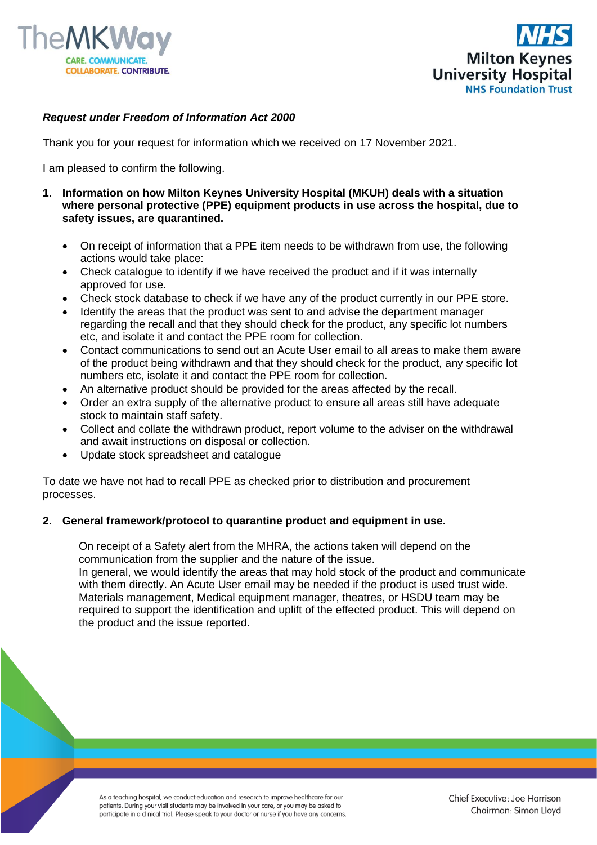



## *Request under Freedom of Information Act 2000*

Thank you for your request for information which we received on 17 November 2021.

I am pleased to confirm the following.

- **1. Information on how Milton Keynes University Hospital (MKUH) deals with a situation where personal protective (PPE) equipment products in use across the hospital, due to safety issues, are quarantined.**
	- On receipt of information that a PPE item needs to be withdrawn from use, the following actions would take place:
	- Check catalogue to identify if we have received the product and if it was internally approved for use.
	- Check stock database to check if we have any of the product currently in our PPE store.
	- Identify the areas that the product was sent to and advise the department manager regarding the recall and that they should check for the product, any specific lot numbers etc, and isolate it and contact the PPE room for collection.
	- Contact communications to send out an Acute User email to all areas to make them aware of the product being withdrawn and that they should check for the product, any specific lot numbers etc, isolate it and contact the PPE room for collection.
	- An alternative product should be provided for the areas affected by the recall.
	- Order an extra supply of the alternative product to ensure all areas still have adequate stock to maintain staff safety.
	- Collect and collate the withdrawn product, report volume to the adviser on the withdrawal and await instructions on disposal or collection.
	- Update stock spreadsheet and catalogue

To date we have not had to recall PPE as checked prior to distribution and procurement processes.

## **2. General framework/protocol to quarantine product and equipment in use.**

On receipt of a Safety alert from the MHRA, the actions taken will depend on the communication from the supplier and the nature of the issue.

In general, we would identify the areas that may hold stock of the product and communicate with them directly. An Acute User email may be needed if the product is used trust wide. Materials management, Medical equipment manager, theatres, or HSDU team may be required to support the identification and uplift of the effected product. This will depend on the product and the issue reported.

As a teaching hospital, we conduct education and research to improve healthcare for our patients. During your visit students may be involved in your care, or you may be asked to participate in a clinical trial. Please speak to your doctor or nurse if you have any concerns.